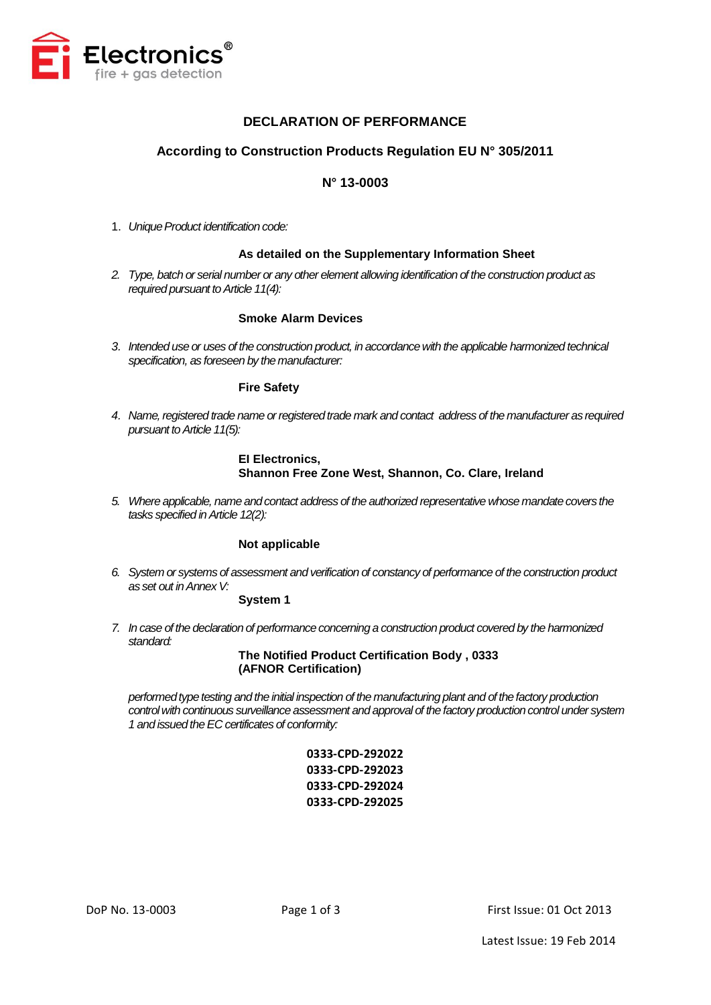

## **DECLARATION OF PERFORMANCE**

## **According to Construction Products Regulation EU N° 305/2011**

## **N° 13-0003**

1. *Unique Product identification code:* 

## **As detailed on the Supplementary Information Sheet**

*2. Type, batch or serial number or any other element allowing identification of the construction product as required pursuant to Article 11(4):*

## **Smoke Alarm Devices**

*3. Intended use or uses of the construction product, in accordance with the applicable harmonized technical specification, as foreseen by the manufacturer:*

### **Fire Safety**

*4. Name, registered trade name or registered trade mark and contact address of the manufacturer as required pursuant to Article 11(5):*

## **EI Electronics, Shannon Free Zone West, Shannon, Co. Clare, Ireland**

*5. Where applicable, name and contact address of the authorized representative whose mandate covers the tasks specified in Article 12(2):*

## **Not applicable**

*6. System or systems of assessment and verification of constancy of performance of the construction product as set out in Annex V:*

#### **System 1**

*7. In case of the declaration of performance concerning a construction product covered by the harmonized standard:*

> **The Notified Product Certification Body , 0333 (AFNOR Certification)**

*performed type testing and the initial inspection of the manufacturing plant and of the factory production control with continuous surveillance assessment and approval of the factory production control under system 1 and issued the EC certificates of conformity:*

> **0333-CPD-292022 0333-CPD-292023 0333-CPD-292024 0333-CPD-292025**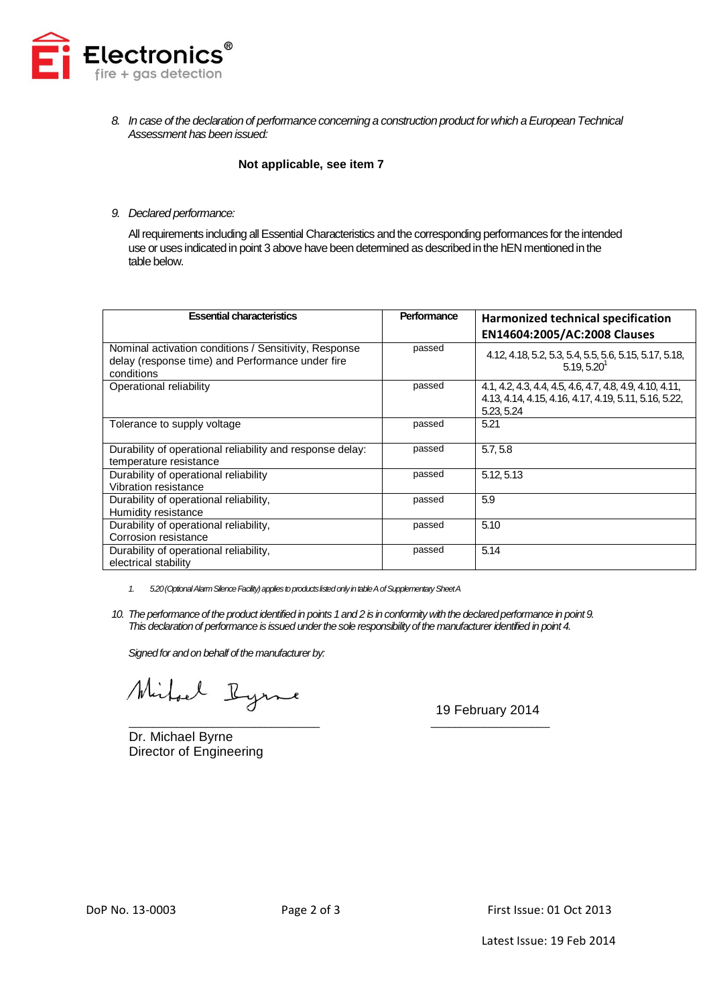

*8. In case of the declaration of performance concerning a construction product for which a European Technical Assessment has been issued:*

## **Not applicable, see item 7**

### *9. Declared performance:*

All requirements including all Essential Characteristics and the corresponding performances for the intended use or uses indicated in point 3 above have been determined as described in the hEN mentioned in the table below.

| <b>Essential characteristics</b>                                                                                        | Performance | Harmonized technical specification                                                                                              |
|-------------------------------------------------------------------------------------------------------------------------|-------------|---------------------------------------------------------------------------------------------------------------------------------|
|                                                                                                                         |             | EN14604:2005/AC:2008 Clauses                                                                                                    |
| Nominal activation conditions / Sensitivity, Response<br>delay (response time) and Performance under fire<br>conditions | passed      | 4.12, 4.18, 5.2, 5.3, 5.4, 5.5, 5.6, 5.15, 5.17, 5.18,<br>$5.19.5.20$ <sup>1</sup>                                              |
| Operational reliability                                                                                                 | passed      | 4.1, 4.2, 4.3, 4.4, 4.5, 4.6, 4.7, 4.8, 4.9, 4.10, 4.11,<br>4.13, 4.14, 4.15, 4.16, 4.17, 4.19, 5.11, 5.16, 5.22,<br>5.23, 5.24 |
| Tolerance to supply voltage                                                                                             | passed      | 5.21                                                                                                                            |
| Durability of operational reliability and response delay:<br>temperature resistance                                     | passed      | 5.7, 5.8                                                                                                                        |
| Durability of operational reliability<br>Vibration resistance                                                           | passed      | 5.12.5.13                                                                                                                       |
| Durability of operational reliability,<br>Humidity resistance                                                           | passed      | 5.9                                                                                                                             |
| Durability of operational reliability,<br>Corrosion resistance                                                          | passed      | 5.10                                                                                                                            |
| Durability of operational reliability,<br>electrical stability                                                          | passed      | 5.14                                                                                                                            |

- *1. 5.20(Optional Alarm Silence Facility)applies to products listed onlyin table A of Supplementary Sheet A*
- *10. The performance of the product identified in points 1 and 2 is in conformity with the declared performance in point 9. This declaration of performance is issued under the sole responsibility of the manufacturer identified in point 4.*

*Signed for and on behalf of the manufacturer by:*

Mirhael Ryme

Dr. Michael Byrne Director of Engineering

\_\_\_\_\_\_\_\_\_\_\_\_\_\_\_\_\_\_\_\_\_\_\_\_\_\_\_\_\_\_\_\_ \_\_\_\_\_\_\_\_\_\_\_\_\_\_\_\_\_\_\_\_ 19 February 2014